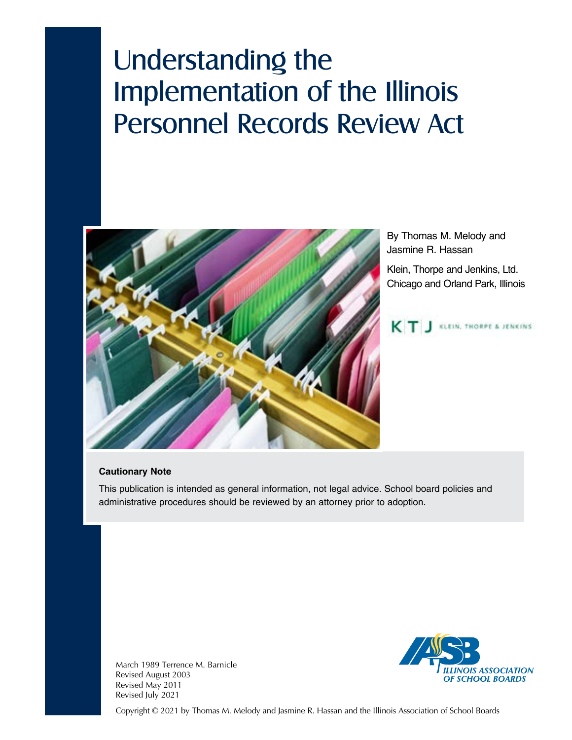# Understanding the Implementation of the Illinois Personnel Records Review Act



By Thomas M. Melody and Jasmine R. Hassan

Klein, Thorpe and Jenkins, Ltd. Chicago and Orland Park, Illinois



#### **Cautionary Note**

This publication is intended as general information, not legal advice. School board policies and administrative procedures should be reviewed by an attorney prior to adoption.



March 1989 Terrence M. Barnicle Revised August 2003 Revised May 2011 Revised July 2021

Copyright © 2021 by Thomas M. Melody and Jasmine R. Hassan and the Illinois Association of School Boards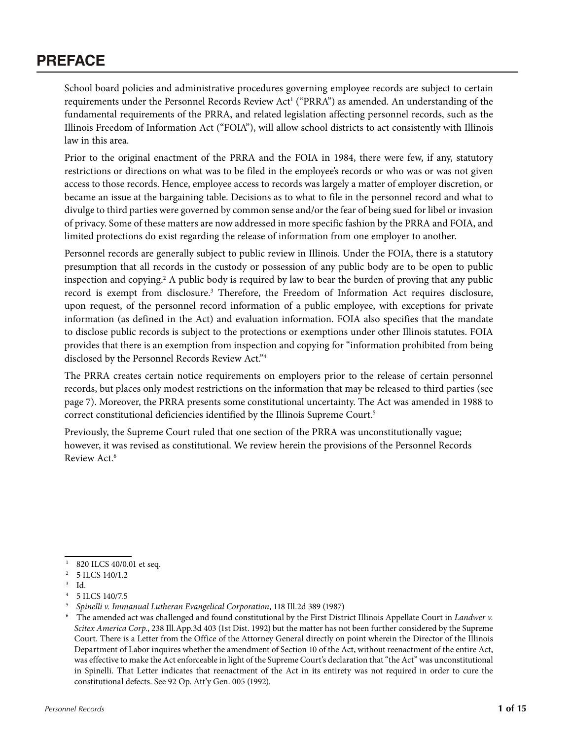# **PREFACE**

School board policies and administrative procedures governing employee records are subject to certain requirements under the Personnel Records Review Act<sup>1</sup> ("PRRA") as amended. An understanding of the fundamental requirements of the PRRA, and related legislation affecting personnel records, such as the Illinois Freedom of Information Act ("FOIA"), will allow school districts to act consistently with Illinois law in this area.

Prior to the original enactment of the PRRA and the FOIA in 1984, there were few, if any, statutory restrictions or directions on what was to be filed in the employee's records or who was or was not given access to those records. Hence, employee access to records was largely a matter of employer discretion, or became an issue at the bargaining table. Decisions as to what to file in the personnel record and what to divulge to third parties were governed by common sense and/or the fear of being sued for libel or invasion of privacy. Some of these matters are now addressed in more specific fashion by the PRRA and FOIA, and limited protections do exist regarding the release of information from one employer to another.

Personnel records are generally subject to public review in Illinois. Under the FOIA, there is a statutory presumption that all records in the custody or possession of any public body are to be open to public inspection and copying.<sup>2</sup> A public body is required by law to bear the burden of proving that any public record is exempt from disclosure.<sup>3</sup> Therefore, the Freedom of Information Act requires disclosure, upon request, of the personnel record information of a public employee, with exceptions for private information (as defined in the Act) and evaluation information. FOIA also specifies that the mandate to disclose public records is subject to the protections or exemptions under other Illinois statutes. FOIA provides that there is an exemption from inspection and copying for "information prohibited from being disclosed by the Personnel Records Review Act."4

The PRRA creates certain notice requirements on employers prior to the release of certain personnel records, but places only modest restrictions on the information that may be released to third parties (see page 7). Moreover, the PRRA presents some constitutional uncertainty. The Act was amended in 1988 to correct constitutional deficiencies identified by the Illinois Supreme Court.5

Previously, the Supreme Court ruled that one section of the PRRA was unconstitutionally vague; however, it was revised as constitutional. We review herein the provisions of the Personnel Records Review Act.6

<sup>&</sup>lt;sup>1</sup> 820 ILCS 40/0.01 et seq.

<sup>2 5</sup> ILCS 140/1.2

<sup>3</sup> Id.

<sup>4 5</sup> ILCS 140/7.5

<sup>5</sup> *Spinelli v. Immanual Lutheran Evangelical Corporation*, 118 Ill.2d 389 (1987)

<sup>6</sup> The amended act was challenged and found constitutional by the First District Illinois Appellate Court in *Landwer v. Scitex America Corp.*, 238 Ill.App.3d 403 (1st Dist. 1992) but the matter has not been further considered by the Supreme Court. There is a Letter from the Office of the Attorney General directly on point wherein the Director of the Illinois Department of Labor inquires whether the amendment of Section 10 of the Act, without reenactment of the entire Act, was effective to make the Act enforceable in light of the Supreme Court's declaration that "the Act" was unconstitutional in Spinelli. That Letter indicates that reenactment of the Act in its entirety was not required in order to cure the constitutional defects. See 92 Op. Att'y Gen. 005 (1992).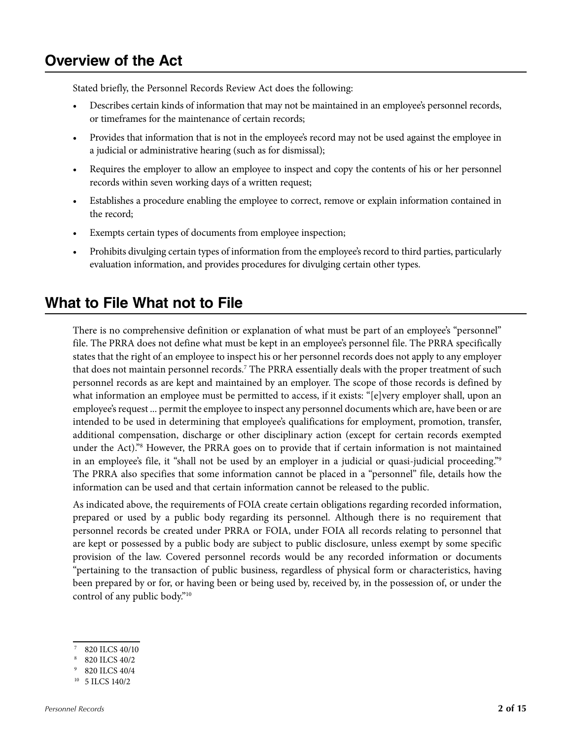# **Overview of the Act**

Stated briefly, the Personnel Records Review Act does the following:

- Describes certain kinds of information that may not be maintained in an employee's personnel records, or timeframes for the maintenance of certain records;
- Provides that information that is not in the employee's record may not be used against the employee in a judicial or administrative hearing (such as for dismissal);
- Requires the employer to allow an employee to inspect and copy the contents of his or her personnel records within seven working days of a written request;
- Establishes a procedure enabling the employee to correct, remove or explain information contained in the record;
- Exempts certain types of documents from employee inspection;
- Prohibits divulging certain types of information from the employee's record to third parties, particularly evaluation information, and provides procedures for divulging certain other types.

# **What to File What not to File**

There is no comprehensive definition or explanation of what must be part of an employee's "personnel" file. The PRRA does not define what must be kept in an employee's personnel file. The PRRA specifically states that the right of an employee to inspect his or her personnel records does not apply to any employer that does not maintain personnel records.<sup>7</sup> The PRRA essentially deals with the proper treatment of such personnel records as are kept and maintained by an employer. The scope of those records is defined by what information an employee must be permitted to access, if it exists: "[e]very employer shall, upon an employee's request ... permit the employee to inspect any personnel documents which are, have been or are intended to be used in determining that employee's qualifications for employment, promotion, transfer, additional compensation, discharge or other disciplinary action (except for certain records exempted under the Act)."8 However, the PRRA goes on to provide that if certain information is not maintained in an employee's file, it "shall not be used by an employer in a judicial or quasi-judicial proceeding."<sup>9</sup> The PRRA also specifies that some information cannot be placed in a "personnel" file, details how the information can be used and that certain information cannot be released to the public.

As indicated above, the requirements of FOIA create certain obligations regarding recorded information, prepared or used by a public body regarding its personnel. Although there is no requirement that personnel records be created under PRRA or FOIA, under FOIA all records relating to personnel that are kept or possessed by a public body are subject to public disclosure, unless exempt by some specific provision of the law. Covered personnel records would be any recorded information or documents "pertaining to the transaction of public business, regardless of physical form or characteristics, having been prepared by or for, or having been or being used by, received by, in the possession of, or under the control of any public body."10

- 820 ILCS 40/10
- 8 820 ILCS 40/2
- 9 820 ILCS 40/4
- 10 5 ILCS 140/2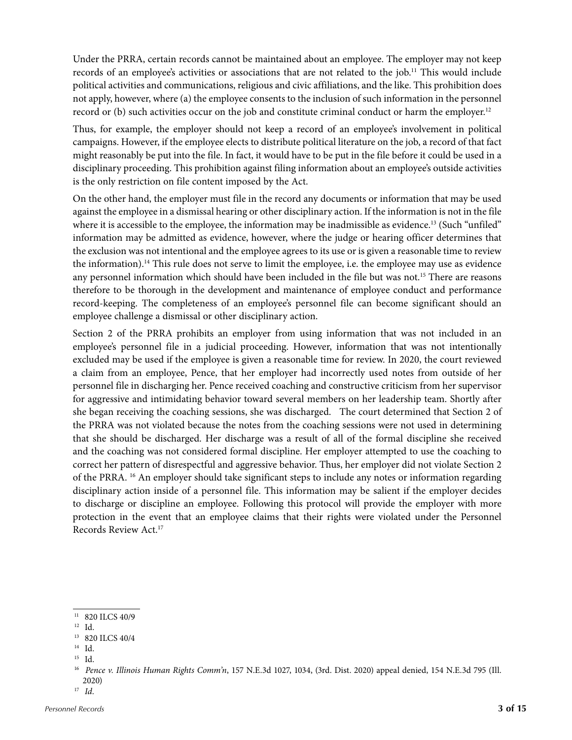Under the PRRA, certain records cannot be maintained about an employee. The employer may not keep records of an employee's activities or associations that are not related to the job.<sup>11</sup> This would include political activities and communications, religious and civic affiliations, and the like. This prohibition does not apply, however, where (a) the employee consents to the inclusion of such information in the personnel record or (b) such activities occur on the job and constitute criminal conduct or harm the employer.<sup>12</sup>

Thus, for example, the employer should not keep a record of an employee's involvement in political campaigns. However, if the employee elects to distribute political literature on the job, a record of that fact might reasonably be put into the file. In fact, it would have to be put in the file before it could be used in a disciplinary proceeding. This prohibition against filing information about an employee's outside activities is the only restriction on file content imposed by the Act.

On the other hand, the employer must file in the record any documents or information that may be used against the employee in a dismissal hearing or other disciplinary action. If the information is not in the file where it is accessible to the employee, the information may be inadmissible as evidence.<sup>13</sup> (Such "unfiled" information may be admitted as evidence, however, where the judge or hearing officer determines that the exclusion was not intentional and the employee agrees to its use or is given a reasonable time to review the information).14 This rule does not serve to limit the employee, i.e. the employee may use as evidence any personnel information which should have been included in the file but was not.15 There are reasons therefore to be thorough in the development and maintenance of employee conduct and performance record-keeping. The completeness of an employee's personnel file can become significant should an employee challenge a dismissal or other disciplinary action.

Section 2 of the PRRA prohibits an employer from using information that was not included in an employee's personnel file in a judicial proceeding. However, information that was not intentionally excluded may be used if the employee is given a reasonable time for review. In 2020, the court reviewed a claim from an employee, Pence, that her employer had incorrectly used notes from outside of her personnel file in discharging her. Pence received coaching and constructive criticism from her supervisor for aggressive and intimidating behavior toward several members on her leadership team. Shortly after she began receiving the coaching sessions, she was discharged. The court determined that Section 2 of the PRRA was not violated because the notes from the coaching sessions were not used in determining that she should be discharged. Her discharge was a result of all of the formal discipline she received and the coaching was not considered formal discipline. Her employer attempted to use the coaching to correct her pattern of disrespectful and aggressive behavior. Thus, her employer did not violate Section 2 of the PRRA. 16 An employer should take significant steps to include any notes or information regarding disciplinary action inside of a personnel file. This information may be salient if the employer decides to discharge or discipline an employee. Following this protocol will provide the employer with more protection in the event that an employee claims that their rights were violated under the Personnel Records Review Act.17

 $11$  820 ILCS 40/9

<sup>12</sup> Id.

<sup>13 820</sup> ILCS 40/4

<sup>14</sup> Id.

<sup>15</sup> Id.

<sup>16</sup> *Pence v. Illinois Human Rights Comm'n*, 157 N.E.3d 1027, 1034, (3rd. Dist. 2020) appeal denied, 154 N.E.3d 795 (Ill. 2020)

<sup>17</sup> *Id*.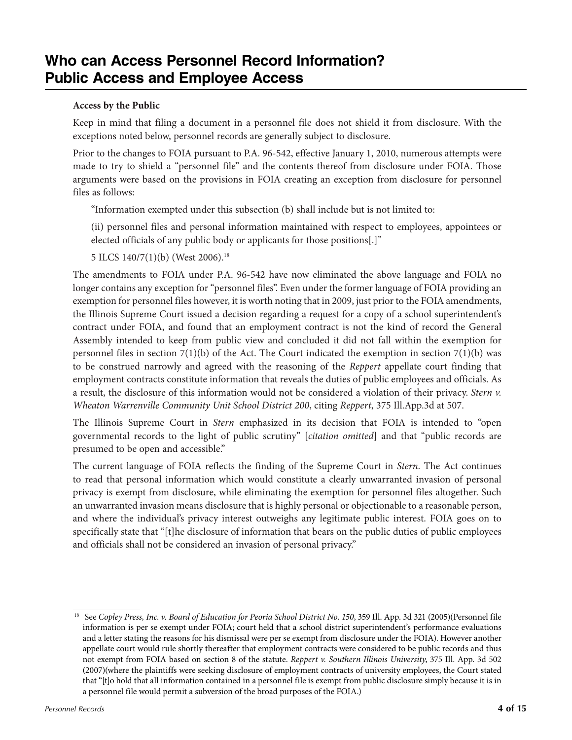# **Who can Access Personnel Record Information? Public Access and Employee Access**

## **Access by the Public**

Keep in mind that filing a document in a personnel file does not shield it from disclosure. With the exceptions noted below, personnel records are generally subject to disclosure.

Prior to the changes to FOIA pursuant to P.A. 96-542, effective January 1, 2010, numerous attempts were made to try to shield a "personnel file" and the contents thereof from disclosure under FOIA. Those arguments were based on the provisions in FOIA creating an exception from disclosure for personnel files as follows:

"Information exempted under this subsection (b) shall include but is not limited to:

(ii) personnel files and personal information maintained with respect to employees, appointees or elected officials of any public body or applicants for those positions[.]"

5 ILCS 140/7(1)(b) (West 2006).18

The amendments to FOIA under P.A. 96-542 have now eliminated the above language and FOIA no longer contains any exception for "personnel files". Even under the former language of FOIA providing an exemption for personnel files however, it is worth noting that in 2009, just prior to the FOIA amendments, the Illinois Supreme Court issued a decision regarding a request for a copy of a school superintendent's contract under FOIA, and found that an employment contract is not the kind of record the General Assembly intended to keep from public view and concluded it did not fall within the exemption for personnel files in section  $7(1)(b)$  of the Act. The Court indicated the exemption in section  $7(1)(b)$  was to be construed narrowly and agreed with the reasoning of the *Reppert* appellate court finding that employment contracts constitute information that reveals the duties of public employees and officials. As a result, the disclosure of this information would not be considered a violation of their privacy. *Stern v. Wheaton Warrenville Community Unit School District 200*, citing *Reppert*, 375 Ill.App.3d at 507.

The Illinois Supreme Court in *Stern* emphasized in its decision that FOIA is intended to "open governmental records to the light of public scrutiny" [*citation omitted*] and that "public records are presumed to be open and accessible."

The current language of FOIA reflects the finding of the Supreme Court in *Stern*. The Act continues to read that personal information which would constitute a clearly unwarranted invasion of personal privacy is exempt from disclosure, while eliminating the exemption for personnel files altogether. Such an unwarranted invasion means disclosure that is highly personal or objectionable to a reasonable person, and where the individual's privacy interest outweighs any legitimate public interest. FOIA goes on to specifically state that "[t]he disclosure of information that bears on the public duties of public employees and officials shall not be considered an invasion of personal privacy."

<sup>&</sup>lt;sup>18</sup> See Copley Press, Inc. v. Board of Education for Peoria School District No. 150, 359 Ill. App. 3d 321 (2005)(Personnel file information is per se exempt under FOIA; court held that a school district superintendent's performance evaluations and a letter stating the reasons for his dismissal were per se exempt from disclosure under the FOIA). However another appellate court would rule shortly thereafter that employment contracts were considered to be public records and thus not exempt from FOIA based on section 8 of the statute. *Reppert v. Southern Illinois University*, 375 Ill. App. 3d 502 (2007)(where the plaintiffs were seeking disclosure of employment contracts of university employees, the Court stated that "[t]o hold that all information contained in a personnel file is exempt from public disclosure simply because it is in a personnel file would permit a subversion of the broad purposes of the FOIA.)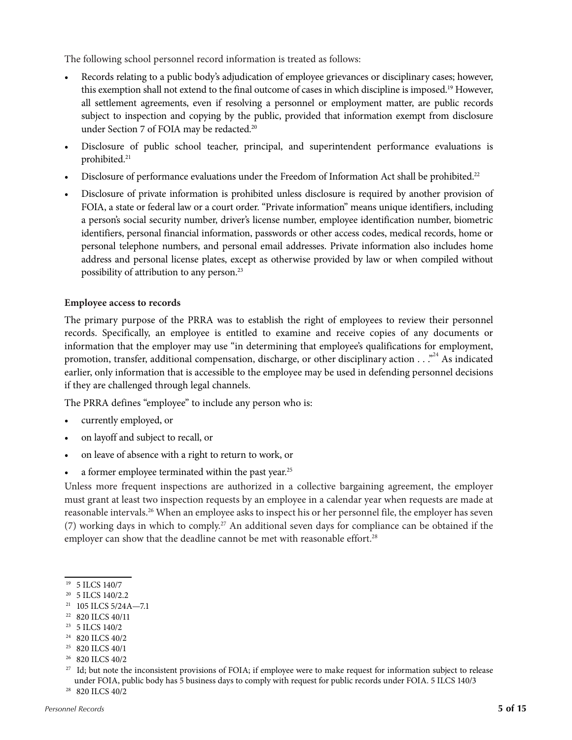The following school personnel record information is treated as follows:

- Records relating to a public body's adjudication of employee grievances or disciplinary cases; however, this exemption shall not extend to the final outcome of cases in which discipline is imposed.19 However, all settlement agreements, even if resolving a personnel or employment matter, are public records subject to inspection and copying by the public, provided that information exempt from disclosure under Section 7 of FOIA may be redacted.<sup>20</sup>
- Disclosure of public school teacher, principal, and superintendent performance evaluations is prohibited.<sup>21</sup>
- Disclosure of performance evaluations under the Freedom of Information Act shall be prohibited.<sup>22</sup>
- Disclosure of private information is prohibited unless disclosure is required by another provision of FOIA, a state or federal law or a court order. "Private information" means unique identifiers, including a person's social security number, driver's license number, employee identification number, biometric identifiers, personal financial information, passwords or other access codes, medical records, home or personal telephone numbers, and personal email addresses. Private information also includes home address and personal license plates, except as otherwise provided by law or when compiled without possibility of attribution to any person.23

#### **Employee access to records**

The primary purpose of the PRRA was to establish the right of employees to review their personnel records. Specifically, an employee is entitled to examine and receive copies of any documents or information that the employer may use "in determining that employee's qualifications for employment, promotion, transfer, additional compensation, discharge, or other disciplinary action . . . <sup>24</sup> As indicated earlier, only information that is accessible to the employee may be used in defending personnel decisions if they are challenged through legal channels.

The PRRA defines "employee" to include any person who is:

- currently employed, or
- on layoff and subject to recall, or
- on leave of absence with a right to return to work, or
- a former employee terminated within the past year.<sup>25</sup>

Unless more frequent inspections are authorized in a collective bargaining agreement, the employer must grant at least two inspection requests by an employee in a calendar year when requests are made at reasonable intervals.26 When an employee asks to inspect his or her personnel file, the employer has seven (7) working days in which to comply.27 An additional seven days for compliance can be obtained if the employer can show that the deadline cannot be met with reasonable effort.<sup>28</sup>

- 21 105 ILCS 5/24A—7.1
- <sup>22</sup> 820 ILCS 40/11
- 23 5 ILCS 140/2

- <sup>25</sup> 820 ILCS 40/1
- 26 820 ILCS 40/2

<sup>19 5</sup> ILCS 140/7

<sup>&</sup>lt;sup>20</sup> 5 ILCS 140/2.2

<sup>24 820</sup> ILCS 40/2

<sup>&</sup>lt;sup>27</sup> Id; but note the inconsistent provisions of FOIA; if employee were to make request for information subject to release under FOIA, public body has 5 business days to comply with request for public records under FOIA. 5 ILCS 140/3

<sup>28 820</sup> ILCS 40/2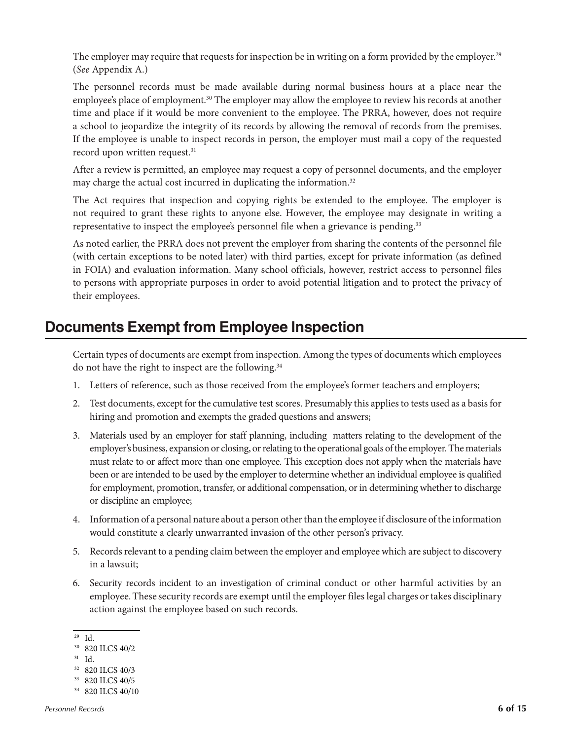The employer may require that requests for inspection be in writing on a form provided by the employer.<sup>29</sup> (*See* Appendix A.)

The personnel records must be made available during normal business hours at a place near the employee's place of employment.<sup>30</sup> The employer may allow the employee to review his records at another time and place if it would be more convenient to the employee. The PRRA, however, does not require a school to jeopardize the integrity of its records by allowing the removal of records from the premises. If the employee is unable to inspect records in person, the employer must mail a copy of the requested record upon written request.<sup>31</sup>

After a review is permitted, an employee may request a copy of personnel documents, and the employer may charge the actual cost incurred in duplicating the information.<sup>32</sup>

The Act requires that inspection and copying rights be extended to the employee. The employer is not required to grant these rights to anyone else. However, the employee may designate in writing a representative to inspect the employee's personnel file when a grievance is pending.<sup>33</sup>

As noted earlier, the PRRA does not prevent the employer from sharing the contents of the personnel file (with certain exceptions to be noted later) with third parties, except for private information (as defined in FOIA) and evaluation information. Many school officials, however, restrict access to personnel files to persons with appropriate purposes in order to avoid potential litigation and to protect the privacy of their employees.

# **Documents Exempt from Employee Inspection**

Certain types of documents are exempt from inspection. Among the types of documents which employees do not have the right to inspect are the following.<sup>34</sup>

- 1. Letters of reference, such as those received from the employee's former teachers and employers;
- 2. Test documents, except for the cumulative test scores. Presumably this applies to tests used as a basis for hiring and promotion and exempts the graded questions and answers;
- 3. Materials used by an employer for staff planning, including matters relating to the development of the employer's business, expansion or closing, or relating to the operational goals of the employer. The materials must relate to or affect more than one employee. This exception does not apply when the materials have been or are intended to be used by the employer to determine whether an individual employee is qualified for employment, promotion, transfer, or additional compensation, or in determining whether to discharge or discipline an employee;
- 4. Information of a personal nature about a person other than the employee if disclosure of the information would constitute a clearly unwarranted invasion of the other person's privacy.
- 5. Records relevant to a pending claim between the employer and employee which are subject to discovery in a lawsuit;
- 6. Security records incident to an investigation of criminal conduct or other harmful activities by an employee. These security records are exempt until the employer files legal charges or takes disciplinary action against the employee based on such records.

31 Id.

<sup>29</sup> Id.

<sup>30 820</sup> ILCS 40/2

<sup>32 820</sup> ILCS 40/3

<sup>33 820</sup> ILCS 40/5

<sup>34 820</sup> ILCS 40/10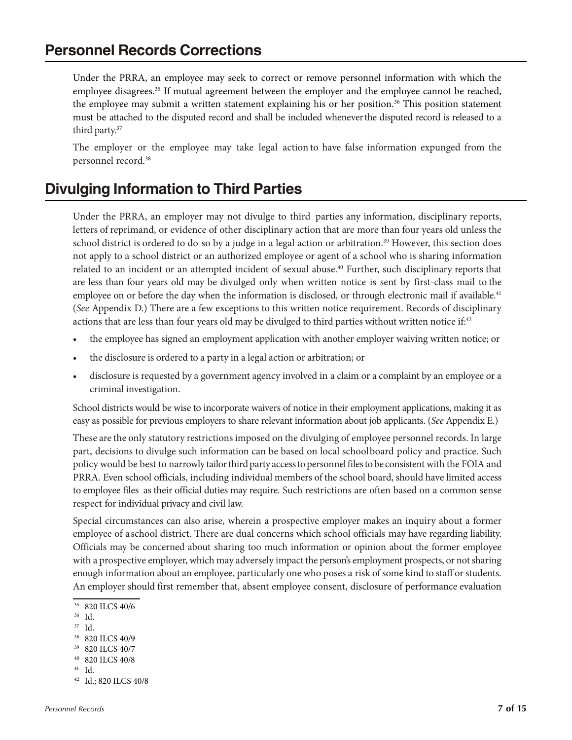# **Personnel Records Corrections**

Under the PRRA, an employee may seek to correct or remove personnel information with which the employee disagrees.<sup>35</sup> If mutual agreement between the employer and the employee cannot be reached, the employee may submit a written statement explaining his or her position.<sup>36</sup> This position statement must be attached to the disputed record and shall be included wheneverthe disputed record is released to a third party.<sup>37</sup>

The employer or the employee may take legal action to have false information expunged from the personnel record.38

# **Divulging Information to Third Parties**

Under the PRRA, an employer may not divulge to third parties any information, disciplinary reports, letters of reprimand, or evidence of other disciplinary action that are more than four years old unless the school district is ordered to do so by a judge in a legal action or arbitration.39 However, this section does not apply to a school district or an authorized employee or agent of a school who is sharing information related to an incident or an attempted incident of sexual abuse.<sup>40</sup> Further, such disciplinary reports that are less than four years old may be divulged only when written notice is sent by first-class mail to the employee on or before the day when the information is disclosed, or through electronic mail if available.<sup>41</sup> (*See* Appendix D.) There are a few exceptions to this written notice requirement. Records of disciplinary actions that are less than four years old may be divulged to third parties without written notice if:<sup>42</sup>

- the employee has signed an employment application with another employer waiving written notice; or
- the disclosure is ordered to a party in a legal action or arbitration; or
- disclosure is requested by a government agency involved in a claim or a complaint by an employee or a criminal investigation.

School districts would be wise to incorporate waivers of notice in their employment applications, making it as easy as possible for previous employers to share relevant information about job applicants. (*See* Appendix E.)

These are the only statutory restrictionsimposed on the divulging of employee personnel records. In large part, decisions to divulge such information can be based on local schoolboard policy and practice. Such policy would be best to narrowly tailor third party access to personnel files to be consistent with the FOIA and PRRA. Even school officials, including individual members of the school board, should have limited access to employee files as their official duties may require. Such restrictions are often based on a common sense respect for individual privacy and civil law.

Special circumstances can also arise, wherein a prospective employer makes an inquiry about a former employee of aschool district. There are dual concerns which school officials may have regarding liability. Officials may be concerned about sharing too much information or opinion about the former employee with a prospective employer, which may adversely impact the person's employment prospects, or notsharing enough information about an employee, particularly one who poses a risk of some kind to staff or students. An employer should first remember that, absent employee consent, disclosure of performance evaluation

- 36 Id.
- 37 Id.

- 40 820 ILCS 40/8
- 41 Id.
- 42 Id.; 820 ILCS 40/8

<sup>35 820</sup> ILCS 40/6

<sup>38 820</sup> ILCS 40/9

<sup>39 820</sup> ILCS 40/7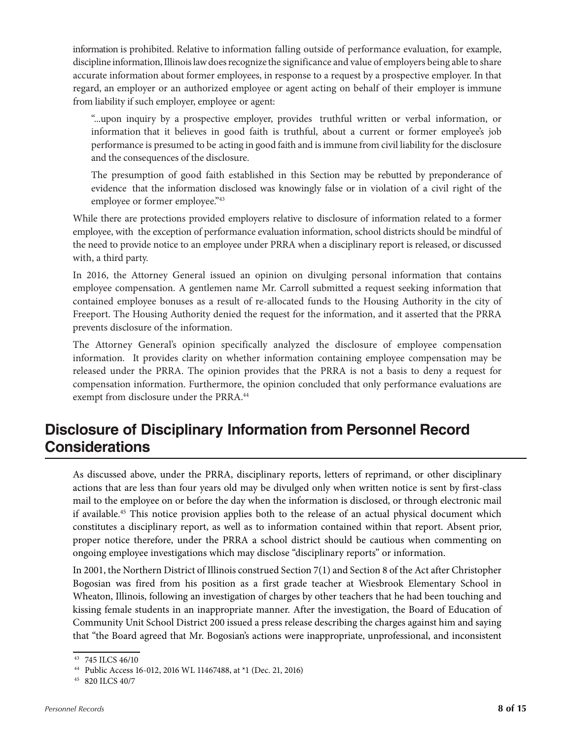information is prohibited. Relative to information falling outside of performance evaluation, for example, discipline information, Illinois law does recognize the significance and value of employers being able to share accurate information about former employees, in response to a request by a prospective employer. In that regard, an employer or an authorized employee or agent acting on behalf of their employer is immune from liability if such employer, employee or agent:

"...upon inquiry by a prospective employer, provides truthful written or verbal information, or information that it believes in good faith is truthful, about a current or former employee's job performance is presumed to be acting in good faith and is immune from civil liability for the disclosure and the consequences of the disclosure.

The presumption of good faith established in this Section may be rebutted by preponderance of evidence that the information disclosed was knowingly false or in violation of a civil right of the employee or former employee."<sup>43</sup>

While there are protections provided employers relative to disclosure of information related to a former employee, with the exception of performance evaluation information, school districts should be mindful of the need to provide notice to an employee under PRRA when a disciplinary report is released, or discussed with, a third party.

In 2016, the Attorney General issued an opinion on divulging personal information that contains employee compensation. A gentlemen name Mr. Carroll submitted a request seeking information that contained employee bonuses as a result of re-allocated funds to the Housing Authority in the city of Freeport. The Housing Authority denied the request for the information, and it asserted that the PRRA prevents disclosure of the information.

The Attorney General's opinion specifically analyzed the disclosure of employee compensation information. It provides clarity on whether information containing employee compensation may be released under the PRRA. The opinion provides that the PRRA is not a basis to deny a request for compensation information. Furthermore, the opinion concluded that only performance evaluations are exempt from disclosure under the PRRA.<sup>44</sup>

# **Disclosure of Disciplinary Information from Personnel Record Considerations**

As discussed above, under the PRRA, disciplinary reports, letters of reprimand, or other disciplinary actions that are less than four years old may be divulged only when written notice is sent by first-class mail to the employee on or before the day when the information is disclosed, or through electronic mail if available.<sup>45</sup> This notice provision applies both to the release of an actual physical document which constitutes a disciplinary report, as well as to information contained within that report. Absent prior, proper notice therefore, under the PRRA a school district should be cautious when commenting on ongoing employee investigations which may disclose "disciplinary reports" or information.

In 2001, the Northern District of Illinois construed Section 7(1) and Section 8 of the Act after Christopher Bogosian was fired from his position as a first grade teacher at Wiesbrook Elementary School in Wheaton, Illinois, following an investigation of charges by other teachers that he had been touching and kissing female students in an inappropriate manner. After the investigation, the Board of Education of Community Unit School District 200 issued a press release describing the charges against him and saying that "the Board agreed that Mr. Bogosian's actions were inappropriate, unprofessional, and inconsistent

<sup>43 745</sup> ILCS 46/10

<sup>44</sup> Public Access 16-012, 2016 WL 11467488, at \*1 (Dec. 21, 2016)

<sup>45 820</sup> ILCS 40/7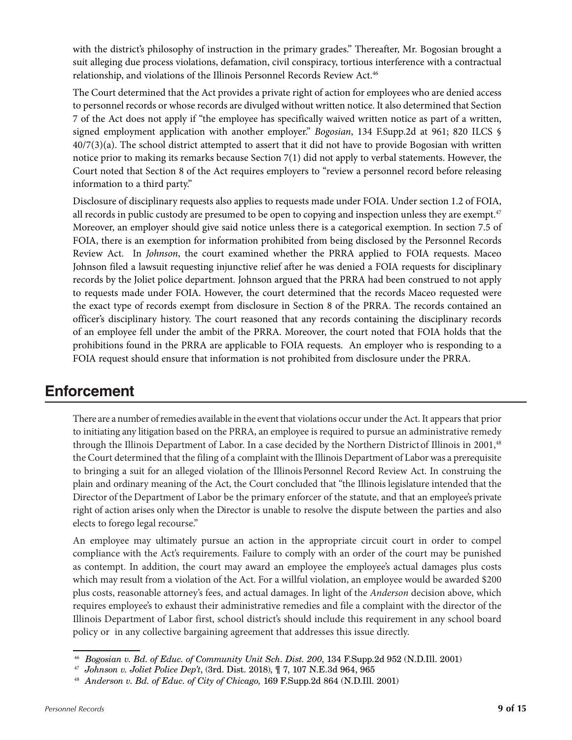with the district's philosophy of instruction in the primary grades." Thereafter, Mr. Bogosian brought a suit alleging due process violations, defamation, civil conspiracy, tortious interference with a contractual relationship, and violations of the Illinois Personnel Records Review Act.<sup>46</sup>

The Court determined that the Act provides a private right of action for employees who are denied access to personnel records or whose records are divulged without written notice. It also determined that Section 7 of the Act does not apply if "the employee has specifically waived written notice as part of a written, signed employment application with another employer." *Bogosian*, 134 F.Supp.2d at 961; 820 ILCS §  $40/7(3)(a)$ . The school district attempted to assert that it did not have to provide Bogosian with written notice prior to making its remarks because Section 7(1) did not apply to verbal statements. However, the Court noted that Section 8 of the Act requires employers to "review a personnel record before releasing information to a third party."

Disclosure of disciplinary requests also applies to requests made under FOIA. Under section 1.2 of FOIA, all records in public custody are presumed to be open to copying and inspection unless they are exempt.<sup>47</sup> Moreover, an employer should give said notice unless there is a categorical exemption. In section 7.5 of FOIA, there is an exemption for information prohibited from being disclosed by the Personnel Records Review Act. In *Johnson*, the court examined whether the PRRA applied to FOIA requests. Maceo Johnson filed a lawsuit requesting injunctive relief after he was denied a FOIA requests for disciplinary records by the Joliet police department. Johnson argued that the PRRA had been construed to not apply to requests made under FOIA. However, the court determined that the records Maceo requested were the exact type of records exempt from disclosure in Section 8 of the PRRA. The records contained an officer's disciplinary history. The court reasoned that any records containing the disciplinary records of an employee fell under the ambit of the PRRA. Moreover, the court noted that FOIA holds that the prohibitions found in the PRRA are applicable to FOIA requests. An employer who is responding to a FOIA request should ensure that information is not prohibited from disclosure under the PRRA.

# **Enforcement**

There are a number of remedies available in the event that violations occur under the Act. It appears that prior to initiating any litigation based on the PRRA, an employee is required to pursue an administrative remedy through the Illinois Department of Labor. In a case decided by the Northern Districtof Illinois in 2001,<sup>48</sup> the Court determined that the filing of a complaint with the Illinois Department of Labor was a prerequisite to bringing a suit for an alleged violation of the Illinois Personnel Record Review Act. In construing the plain and ordinary meaning of the Act, the Court concluded that "the Illinois legislature intended that the Director of the Department of Labor be the primary enforcer of the statute, and that an employee's private right of action arises only when the Director is unable to resolve the dispute between the parties and also elects to forego legal recourse."

An employee may ultimately pursue an action in the appropriate circuit court in order to compel compliance with the Act's requirements. Failure to comply with an order of the court may be punished as contempt. In addition, the court may award an employee the employee's actual damages plus costs which may result from a violation of the Act. For a willful violation, an employee would be awarded \$200 plus costs, reasonable attorney's fees, and actual damages. In light of the *Anderson* decision above, which requires employee's to exhaust their administrative remedies and file a complaint with the director of the Illinois Department of Labor first, school district's should include this requirement in any school board policy or in any collective bargaining agreement that addresses this issue directly.

<sup>46</sup> *Bogosian v. Bd. of Educ. of Community Unit Sch. Dist. 200*, 134 F.Supp.2d 952 (N.D.Ill. 2001)

<sup>47</sup> *Johnson v. Joliet Police Dep't*, (3rd. Dist. 2018), ¶ 7, 107 N.E.3d 964, 965

<sup>48</sup> *Anderson v. Bd. of Educ. of City of Chicago,* 169 F.Supp.2d 864 (N.D.Ill. 2001)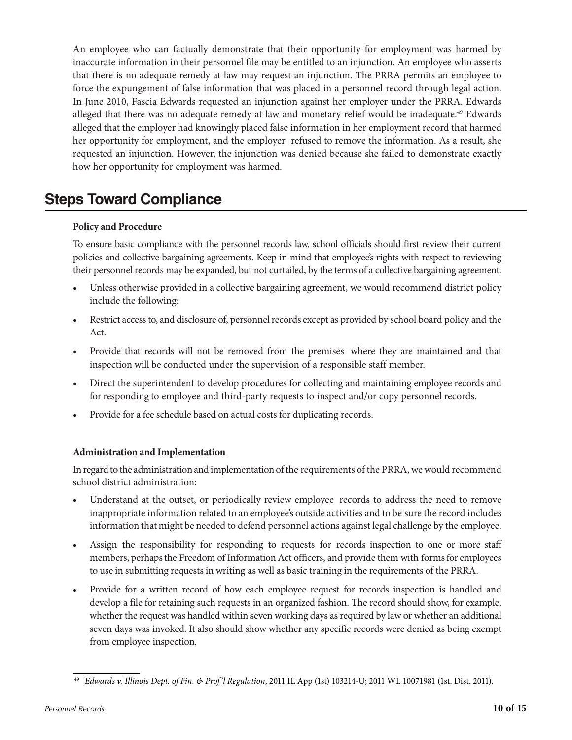An employee who can factually demonstrate that their opportunity for employment was harmed by inaccurate information in their personnel file may be entitled to an injunction. An employee who asserts that there is no adequate remedy at law may request an injunction. The PRRA permits an employee to force the expungement of false information that was placed in a personnel record through legal action. In June 2010, Fascia Edwards requested an injunction against her employer under the PRRA. Edwards alleged that there was no adequate remedy at law and monetary relief would be inadequate.<sup>49</sup> Edwards alleged that the employer had knowingly placed false information in her employment record that harmed her opportunity for employment, and the employer refused to remove the information. As a result, she requested an injunction. However, the injunction was denied because she failed to demonstrate exactly how her opportunity for employment was harmed.

# **Steps Toward Compliance**

### **Policy and Procedure**

To ensure basic compliance with the personnel records law, school officials should first review their current policies and collective bargaining agreements. Keep in mind that employee's rights with respect to reviewing their personnel records may be expanded, but not curtailed, by the terms of a collective bargaining agreement.

- Unless otherwise provided in a collective bargaining agreement, we would recommend district policy include the following:
- Restrict access to, and disclosure of, personnel records except as provided by school board policy and the Act.
- Provide that records will not be removed from the premises where they are maintained and that inspection will be conducted under the supervision of a responsible staff member.
- Direct the superintendent to develop procedures for collecting and maintaining employee records and for responding to employee and third-party requests to inspect and/or copy personnel records.
- Provide for a fee schedule based on actual costs for duplicating records.

## **Administration and Implementation**

In regard to the administration and implementation of the requirements of the PRRA, we would recommend school district administration:

- Understand at the outset, or periodically review employee records to address the need to remove inappropriate information related to an employee's outside activities and to be sure the record includes information that might be needed to defend personnel actions against legal challenge by the employee.
- Assign the responsibility for responding to requests for records inspection to one or more staff members, perhaps the Freedom of Information Act officers, and provide them with forms for employees to use in submitting requests in writing as well as basic training in the requirements of the PRRA.
- Provide for a written record of how each employee request for records inspection is handled and develop a file for retaining such requests in an organized fashion. The record should show, for example, whether the request was handled within seven working days as required by law or whether an additional seven days was invoked. It also should show whether any specific records were denied as being exempt from employee inspection.

<sup>49</sup> *Edwards v. Illinois Dept. of Fin. & Prof'l Regulation*, 2011 IL App (1st) 103214-U; 2011 WL 10071981 (1st. Dist. 2011).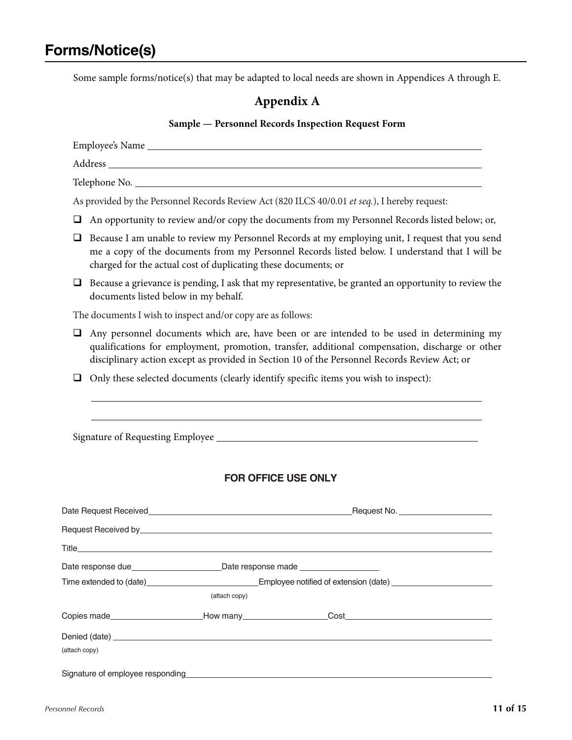Some sample forms/notice(s) that may be adapted to local needs are shown in Appendices A through E.

## **Appendix A**

### **Sample — Personnel Records Inspection Request Form**

|                                                                                                     | Address and the contract of the contract of the contract of the contract of the contract of the contract of the contract of the contract of the contract of the contract of the contract of the contract of the contract of th                                                               |  |  |  |  |
|-----------------------------------------------------------------------------------------------------|----------------------------------------------------------------------------------------------------------------------------------------------------------------------------------------------------------------------------------------------------------------------------------------------|--|--|--|--|
|                                                                                                     |                                                                                                                                                                                                                                                                                              |  |  |  |  |
|                                                                                                     | As provided by the Personnel Records Review Act (820 ILCS 40/0.01 et seq.), I hereby request:                                                                                                                                                                                                |  |  |  |  |
| An opportunity to review and/or copy the documents from my Personnel Records listed below; or,<br>⊔ |                                                                                                                                                                                                                                                                                              |  |  |  |  |
| ❏                                                                                                   | Because I am unable to review my Personnel Records at my employing unit, I request that you send<br>me a copy of the documents from my Personnel Records listed below. I understand that I will be<br>charged for the actual cost of duplicating these documents; or                         |  |  |  |  |
| □                                                                                                   | Because a grievance is pending, I ask that my representative, be granted an opportunity to review the<br>documents listed below in my behalf.                                                                                                                                                |  |  |  |  |
|                                                                                                     | The documents I wish to inspect and/or copy are as follows:                                                                                                                                                                                                                                  |  |  |  |  |
| □                                                                                                   | Any personnel documents which are, have been or are intended to be used in determining my<br>qualifications for employment, promotion, transfer, additional compensation, discharge or other<br>disciplinary action except as provided in Section 10 of the Personnel Records Review Act; or |  |  |  |  |
| ⊔                                                                                                   | Only these selected documents (clearly identify specific items you wish to inspect):                                                                                                                                                                                                         |  |  |  |  |
|                                                                                                     | <b>FOR OFFICE USE ONLY</b>                                                                                                                                                                                                                                                                   |  |  |  |  |
|                                                                                                     |                                                                                                                                                                                                                                                                                              |  |  |  |  |
|                                                                                                     |                                                                                                                                                                                                                                                                                              |  |  |  |  |
|                                                                                                     |                                                                                                                                                                                                                                                                                              |  |  |  |  |
| Title                                                                                               |                                                                                                                                                                                                                                                                                              |  |  |  |  |
|                                                                                                     |                                                                                                                                                                                                                                                                                              |  |  |  |  |
|                                                                                                     | Time extended to (date) example and the Employee notified of extension (date) extended to (date)<br>(attach copy)                                                                                                                                                                            |  |  |  |  |
|                                                                                                     |                                                                                                                                                                                                                                                                                              |  |  |  |  |
|                                                                                                     |                                                                                                                                                                                                                                                                                              |  |  |  |  |
| (attach copy)                                                                                       |                                                                                                                                                                                                                                                                                              |  |  |  |  |
|                                                                                                     |                                                                                                                                                                                                                                                                                              |  |  |  |  |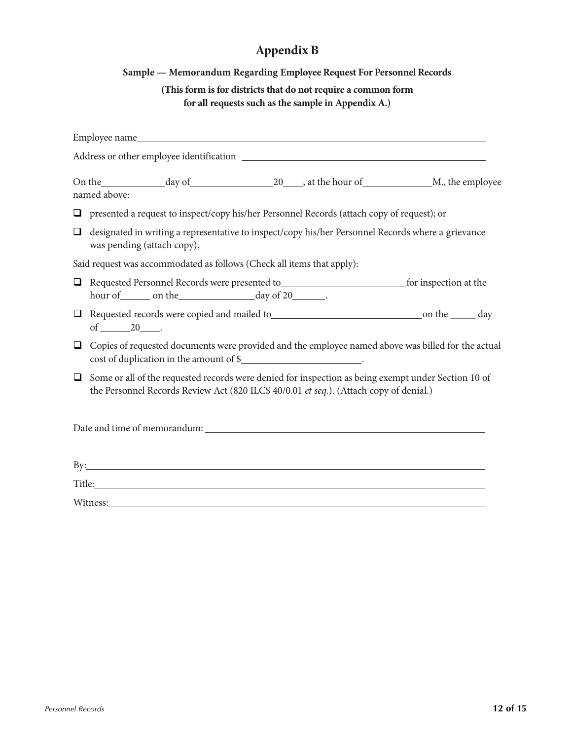# **Appendix B**

## **Sample — Memorandum Regarding Employee Request For Personnel Records**

**(This form is for districts that do not require a common form for all requests such as the sample in Appendix A.)**

|        | named above:                                                                                                                                                                                                                   |  |  |  |
|--------|--------------------------------------------------------------------------------------------------------------------------------------------------------------------------------------------------------------------------------|--|--|--|
|        | $\Box$ presented a request to inspect/copy his/her Personnel Records (attach copy of request); or                                                                                                                              |  |  |  |
| $\Box$ | designated in writing a representative to inspect/copy his/her Personnel Records where a grievance<br>was pending (attach copy).                                                                                               |  |  |  |
|        | Said request was accommodated as follows (Check all items that apply):                                                                                                                                                         |  |  |  |
| $\Box$ | Requested Personnel Records were presented to<br><u>rooms</u> for inspection at the                                                                                                                                            |  |  |  |
| $\Box$ |                                                                                                                                                                                                                                |  |  |  |
| $\Box$ | Copies of requested documents were provided and the employee named above was billed for the actual<br>cost of duplication in the amount of \$                                                                                  |  |  |  |
| $\Box$ | Some or all of the requested records were denied for inspection as being exempt under Section 10 of<br>the Personnel Records Review Act (820 ILCS 40/0.01 et seq.). (Attach copy of denial.)                                   |  |  |  |
|        |                                                                                                                                                                                                                                |  |  |  |
|        |                                                                                                                                                                                                                                |  |  |  |
|        | Title: The contract of the contract of the contract of the contract of the contract of the contract of the contract of the contract of the contract of the contract of the contract of the contract of the contract of the con |  |  |  |
|        | Witness:                                                                                                                                                                                                                       |  |  |  |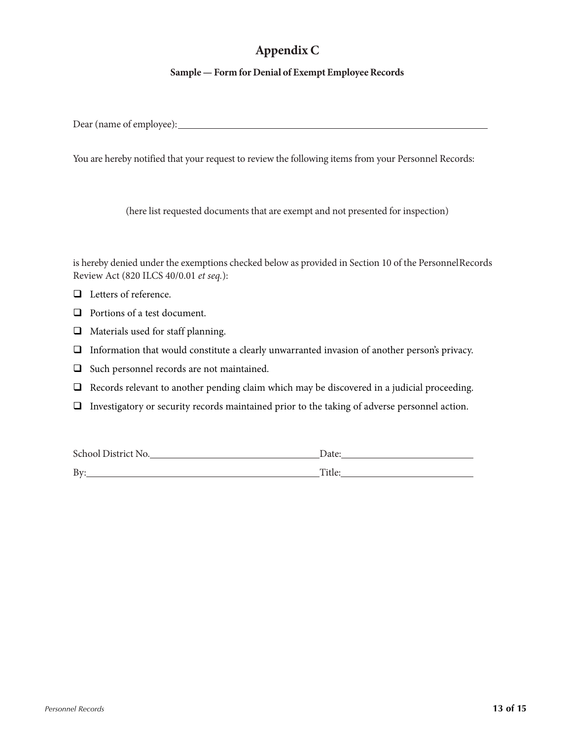# **Appendix C**

## **Sample** — **Form** for Denial of **Exempt Employee Records**

Dear (name of employee):

You are hereby notified that your request to review the following items from your Personnel Records:

(here list requested documents that are exempt and not presented for inspection)

is hereby denied under the exemptions checked below as provided in Section 10 of the PersonnelRecords Review Act (820 ILCS 40/0.01 *et seq.*):

- □ Letters of reference.
- **Q** Portions of a test document.
- $\Box$  Materials used for staff planning.
- Information that would constitute a clearly unwarranted invasion of another person's privacy.
- $\Box$  Such personnel records are not maintained.
- $\Box$  Records relevant to another pending claim which may be discovered in a judicial proceeding.
- $\Box$  Investigatory or security records maintained prior to the taking of adverse personnel action.

| School District No. | Date:  |
|---------------------|--------|
| By:                 | Title: |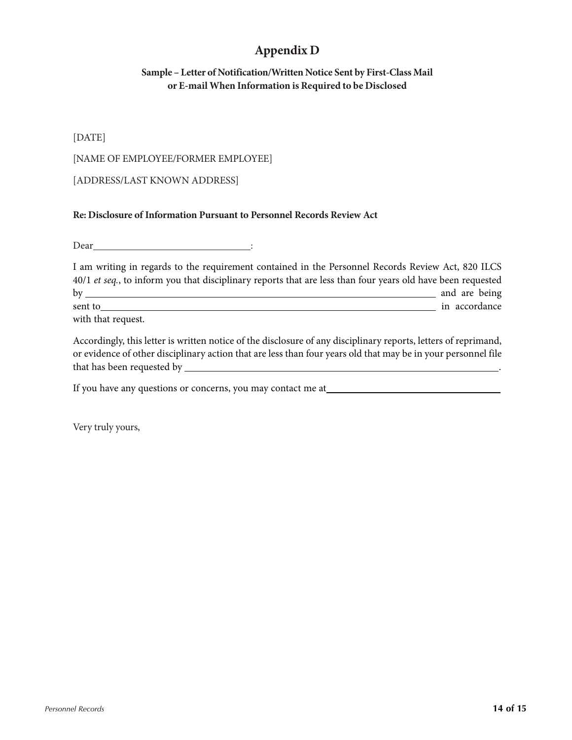# **Appendix D**

## **Sample – Letter of Notification/Written Notice Sent by First-Class Mail or E-mail When Information is Required to be Disclosed**

## [DATE]

### [NAME OF EMPLOYEE/FORMER EMPLOYEE]

## [ADDRESS/LAST KNOWN ADDRESS]

#### **Re: Disclosure of Information Pursuant to Personnel Records Review Act**

Dear :

| I am writing in regards to the requirement contained in the Personnel Records Review Act, 820 ILCS          |               |
|-------------------------------------------------------------------------------------------------------------|---------------|
| 40/1 et seq., to inform you that disciplinary reports that are less than four years old have been requested |               |
| by                                                                                                          | and are being |
| sent to                                                                                                     | in accordance |
| with that request.                                                                                          |               |

Accordingly, this letter is written notice of the disclosure of any disciplinary reports, letters of reprimand, or evidence of other disciplinary action that are less than four years old that may be in your personnel file that has been requested by .

If you have any questions or concerns, you may contact me at

Very truly yours,